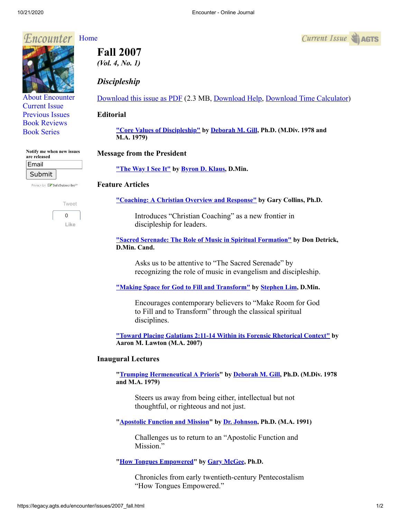# *Encounter* [Home](http://legacy.agts.edu/encounter/index.htm)



[About Encounter](http://legacy.agts.edu/encounter/about.html) [Current Issue](http://legacy.agts.edu/encounter/current.html) [Previous Issues](http://legacy.agts.edu/encounter/previous.html) [Book Reviews](http://legacy.agts.edu/encounter/book_reviews.html) [Book Series](http://legacy.agts.edu/encounter/resources.html)

| Notify me when new issues<br>are released |  |
|-------------------------------------------|--|
| Email                                     |  |
|                                           |  |

Submit Privacy by **EV** SafeSubscribe<sup>sM</sup>





**Fall 2007**  *(Vol. 4, No. 1)*

## *Discipleship*

[Download this issue as PDF](https://legacy.agts.edu/encounter/issues/2007fall.pdf) (2.3 MB, [Download Help](javascript:;), [Download Time Calculator\)](http://www.onlineconversion.com/downloadspeed.htm)

### **Editorial**

**["Core Values of Discipleship"](https://legacy.agts.edu/encounter/articles/2007_fall/editorial.htm) by [Deborah M. Gill,](http://legacy.agts.edu/faculty/gill.html) Ph.D. (M.Div. 1978 and M.A. 1979)**

## **Message from the President**

**["The Way I See It"](https://legacy.agts.edu/encounter/articles/2007_fall/klaus.htm) by [Byron D. Klaus](http://legacy.agts.edu/faculty/klaus.html), D.Min.**

### **Feature Articles**

**["Coaching: A Christian Overview and Response"](https://legacy.agts.edu/encounter/articles/2007_fall/collins.htm) by Gary Collins, Ph.D.**

Introduces "Christian Coaching" as a new frontier in discipleship for leaders.

**["Sacred Serenade: The Role of Music in Spiritual Formation"](https://legacy.agts.edu/encounter/articles/2007_fall/detrick.htm) by Don Detrick, D.Min. Cand.**

Asks us to be attentive to "The Sacred Serenade" by recognizing the role of music in evangelism and discipleship.

**["Making Space for God to Fill and Transform"](https://legacy.agts.edu/encounter/articles/2007_fall/lim.htm) by [Stephen Lim](https://legacy.agts.edu/faculty/lim.html), D.Min.**

Encourages contemporary believers to "Make Room for God to Fill and to Transform" through the classical spiritual disciplines.

**["Toward Placing Galatians 2:11-14 Within its Forensic Rhetorical Context"](https://legacy.agts.edu/encounter/articles/2007_fall/lawton.htm) by Aaron M. Lawton (M.A. 2007)**

### **Inaugural Lectures**

**"[Trumping Hermeneutical A Prioris](https://legacy.agts.edu/encounter/articles/2007_fall/gill.htm)" by [Deborah M. Gill,](http://legacy.agts.edu/faculty/lee.html) Ph.D. (M.Div. 1978 and M.A. 1979)**

Steers us away from being either, intellectual but not thoughtful, or righteous and not just.

**"[Apostolic Function and Mission"](https://legacy.agts.edu/encounter/articles/2007_fall/johnson.htm) by [Dr. Johnson,](https://legacy.agts.edu/faculty/johnson.html) Ph.D. (M.A. 1991)**

Challenges us to return to an "Apostolic Function and Mission."

## **"[How Tongues Empowered"](https://legacy.agts.edu/encounter/articles/2007_fall/mcgee.htm) by [Gary McGee,](https://legacy.agts.edu/faculty/mcgee.html) Ph.D.**

Chronicles from early twentieth-century Pentecostalism "How Tongues Empowered."